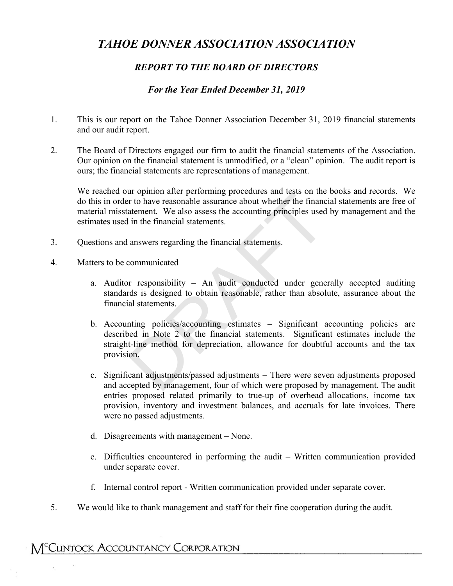# *TAHOE DONNER ASSOCIATION ASSOCIATION*

# *REPORT TO THE BOARD OF DIRECTORS*

## *For the Year Ended December 31, 2019*

- 1. This is our report on the Tahoe Donner Association December 31, 2019 financial statements and our audit report.
- 2. The Board of Directors engaged our firm to audit the financial statements of the Association. Our opinion on the financial statement is unmodified, or a "clean" opinion. The audit report is ours; the financial statements are representations of management.

We reached our opinion after performing procedures and tests on the books and records. We do this in order to have reasonable assurance about whether the financial statements are free of material misstatement. We also assess the accounting principles used by management and the estimates used in the financial statements.

- 3. Questions and answers regarding the financial statements.
- 4. Matters to be communicated
	- a. Auditor responsibility An audit conducted under generally accepted auditing standards is designed to obtain reasonable, rather than absolute, assurance about the financial statements.
- b. Accounting policies/accounting estimates Significant accounting policies are described in Note 2 to the financial statements. Significant estimates include the straight-line method for depreciation, allowance for doubtful accounts and the tax provision. In the performing procedures and tests on the<br>
the to have reasonable assurance about whether the finance<br>
atement. We also assess the accounting principles used<br>
in the financial statements.<br>
<br>
answers regarding the finan
	- c. Significant adjustments/passed adjustments There were seven adjustments proposed and accepted by management, four of which were proposed by management. The audit entries proposed related primarily to true-up of overhead allocations, income tax provision, inventory and investment balances, and accruals for late invoices. There were no passed adjustments.
	- d. Disagreements with management None.
	- e. Difficulties encountered in performing the audit Written communication provided under separate cover.
	- f. Internal control report Written communication provided under separate cover.
- 5. We would like to thank management and staff for their fine cooperation during the audit.

# M<sup>C</sup>CLINTOCK ACCOUNTANCY CORPORATION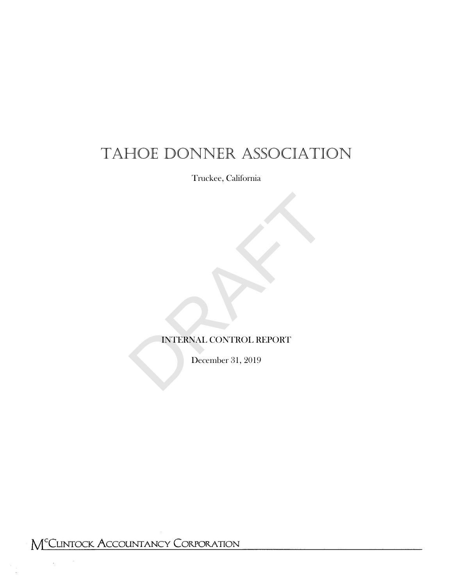# TAHOE DONNER ASSOCIATION

Truckee, California

# INTERNAL CONTROL REPORT INTERNAL CONTROL REPORT<br>December 31, 2019

December 31, 2019

- 1 -

M<sup>C</sup>CLINTOCK ACCOUNTANCY CORPORATION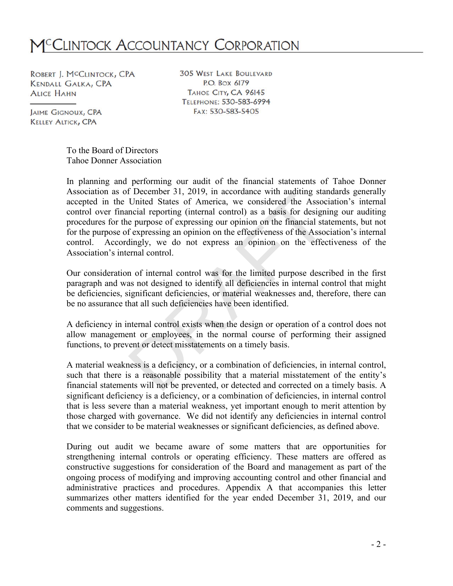# M<sup>c</sup>Clintock Accountancy Corporation

ROBERT J. MCCLINTOCK, CPA **KENDALL GALKA, CPA ALICE HAHN** 

**305 WEST LAKE BOULEVARD** P.O. Box 6179 TAHOE CITY, CA 96145 TELEPHONE: 530-583-6994 FAX: 530-583-5405

**JAIME GIGNOUX, CPA KELLEY ALTICK, CPA** 

> To the Board of Directors Tahoe Donner Association

In planning and performing our audit of the financial statements of Tahoe Donner Association as of December 31, 2019, in accordance with auditing standards generally accepted in the United States of America, we considered the Association's internal control over financial reporting (internal control) as a basis for designing our auditing procedures for the purpose of expressing our opinion on the financial statements, but not for the purpose of expressing an opinion on the effectiveness of the Association's internal control. Accordingly, we do not express an opinion on the effectiveness of the Association's internal control. If December 31, 2019, in accordance with auditing star<br>United States of America, we considered the Assoc<br>mcial reporting (internal control) as a basis for designine<br>purpose of expressing our opinion on the financial sta<br>f

Our consideration of internal control was for the limited purpose described in the first paragraph and was not designed to identify all deficiencies in internal control that might be deficiencies, significant deficiencies, or material weaknesses and, therefore, there can be no assurance that all such deficiencies have been identified.

A deficiency in internal control exists when the design or operation of a control does not allow management or employees, in the normal course of performing their assigned functions, to prevent or detect misstatements on a timely basis.

A material weakness is a deficiency, or a combination of deficiencies, in internal control, such that there is a reasonable possibility that a material misstatement of the entity's financial statements will not be prevented, or detected and corrected on a timely basis. A significant deficiency is a deficiency, or a combination of deficiencies, in internal control that is less severe than a material weakness, yet important enough to merit attention by those charged with governance. We did not identify any deficiencies in internal control that we consider to be material weaknesses or significant deficiencies, as defined above.

During out audit we became aware of some matters that are opportunities for strengthening internal controls or operating efficiency. These matters are offered as constructive suggestions for consideration of the Board and management as part of the ongoing process of modifying and improving accounting control and other financial and administrative practices and procedures. Appendix A that accompanies this letter summarizes other matters identified for the year ended December 31, 2019, and our comments and suggestions.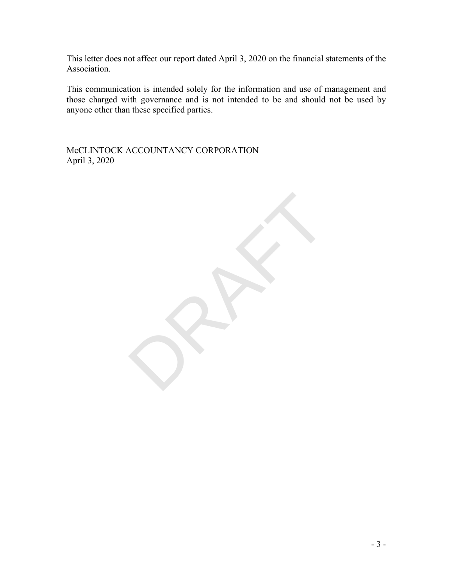This letter does not affect our report dated April 3, 2020 on the financial statements of the Association.

This communication is intended solely for the information and use of management and those charged with governance and is not intended to be and should not be used by anyone other than these specified parties.

RAFT

McCLINTOCK ACCOUNTANCY CORPORATION April 3, 2020